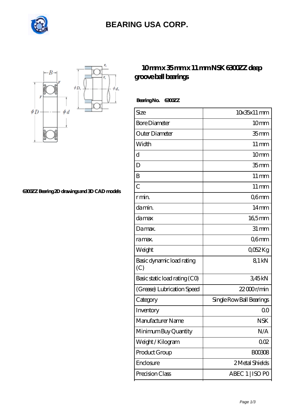

## **[BEARING USA CORP.](https://internationalbonsaiforum.com)**



**[6300ZZ Bearing 2D drawings and 3D CAD models](https://internationalbonsaiforum.com/pic-65127407.html)**

## **[10 mm x 35 mm x 11 mm NSK 6300ZZ deep](https://internationalbonsaiforum.com/nsk-6300zz-bearing/) [groove ball bearings](https://internationalbonsaiforum.com/nsk-6300zz-bearing/)**

 **Bearing No. 6300ZZ**

| Size                             | $10x35x11$ mm            |
|----------------------------------|--------------------------|
| <b>Bore Diameter</b>             | 10 <sub>mm</sub>         |
| Outer Diameter                   | 35 <sub>mm</sub>         |
| Width                            | $11 \,\mathrm{mm}$       |
| d                                | 10mm                     |
| D                                | 35 <sub>mm</sub>         |
| B                                | $11 \,\mathrm{mm}$       |
| $\overline{C}$                   | $11 \,\mathrm{mm}$       |
| r min.                           | Q6mm                     |
| da min.                          | 14 <sub>mm</sub>         |
| damax                            | $165$ mm                 |
| Damax.                           | $31 \, \text{mm}$        |
| ra max.                          | Q6mm                     |
| Weight                           | Q052Kg                   |
| Basic dynamic load rating<br>(C) | 81 kN                    |
| Basic static load rating (CO)    | 345kN                    |
| (Grease) Lubrication Speed       | $22000$ r/min            |
| Category                         | Single Row Ball Bearings |
| Inventory                        | 0 <sub>0</sub>           |
| Manufacturer Name                | <b>NSK</b>               |
| Minimum Buy Quantity             | N/A                      |
| Weight / Kilogram                | 002                      |
| Product Group                    | <b>BOO3O8</b>            |
| Enclosure                        | 2 Metal Shields          |
| Precision Class                  | ABEC 1   ISO PO          |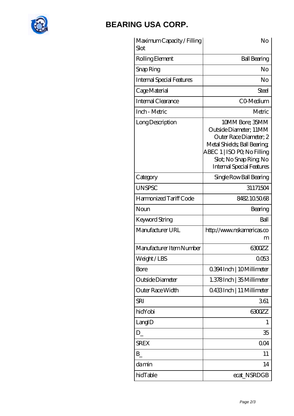

## **[BEARING USA CORP.](https://internationalbonsaiforum.com)**

| Maximum Capacity / Filling<br>Slot | No                                                                                                                                                                                             |
|------------------------------------|------------------------------------------------------------------------------------------------------------------------------------------------------------------------------------------------|
| Rolling Element                    | <b>Ball Bearing</b>                                                                                                                                                                            |
| Snap Ring                          | No                                                                                                                                                                                             |
| <b>Internal Special Features</b>   | No                                                                                                                                                                                             |
| Cage Material                      | Steel                                                                                                                                                                                          |
| Internal Clearance                 | CO-Medium                                                                                                                                                                                      |
| Inch - Metric                      | Metric                                                                                                                                                                                         |
| Long Description                   | 10MM Bore; 35MM<br>Outside Diameter; 11MM<br>Outer Race Diameter; 2<br>Metal Shields; Ball Bearing;<br>ABEC 1   ISO PQ No Filling<br>Slot; No Snap Ring No<br><b>Internal Special Features</b> |
| Category                           | Single Row Ball Bearing                                                                                                                                                                        |
| <b>UNSPSC</b>                      | 31171504                                                                                                                                                                                       |
| Harmonized Tariff Code             | 8482105068                                                                                                                                                                                     |
| Noun                               | Bearing                                                                                                                                                                                        |
| Keyword String                     | Ball                                                                                                                                                                                           |
| Manufacturer URL                   | http://www.nskamericas.co<br>m                                                                                                                                                                 |
| Manufacturer Item Number           | 6300ZZ                                                                                                                                                                                         |
| Weight/LBS                         | UU53                                                                                                                                                                                           |
| Bore                               | 0.394 Inch   10 Millimeter                                                                                                                                                                     |
| Outside Diameter                   | 1.378Inch   35 Millimeter                                                                                                                                                                      |
| Outer Race Width                   | Q433Inch   11 Millimeter                                                                                                                                                                       |
| <b>SRI</b>                         | 361                                                                                                                                                                                            |
| hidYobi                            | 6300ZZ                                                                                                                                                                                         |
| LangID                             | 1                                                                                                                                                                                              |
| $D_{-}$                            | 35                                                                                                                                                                                             |
| <b>SREX</b>                        | 004                                                                                                                                                                                            |
| B                                  | 11                                                                                                                                                                                             |
| damin                              | 14                                                                                                                                                                                             |
| hidTable                           | ecat_NSRDGB                                                                                                                                                                                    |